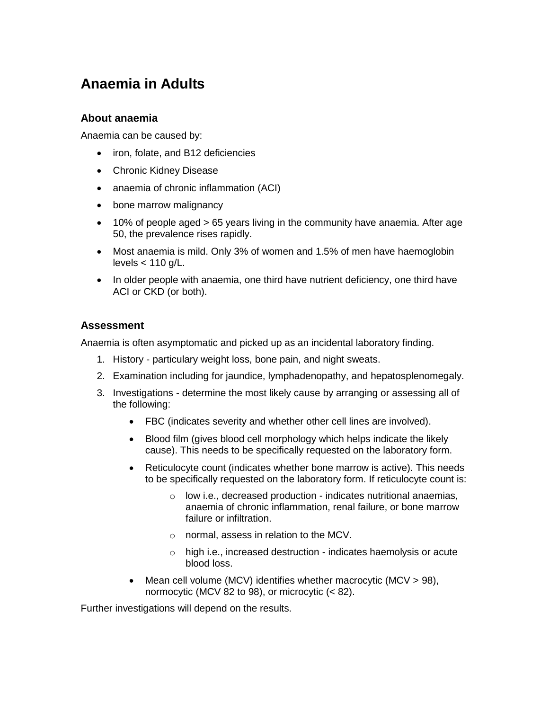# **Anaemia in Adults**

### **About anaemia**

Anaemia can be caused by:

- iron, folate, and B12 deficiencies
- Chronic Kidney Disease
- anaemia of chronic inflammation (ACI)
- bone marrow malignancy
- 10% of people aged > 65 years living in the community have anaemia. After age 50, the prevalence rises rapidly.
- Most anaemia is mild. Only 3% of women and 1.5% of men have haemoglobin levels  $< 110$  g/L.
- In older people with anaemia, one third have nutrient deficiency, one third have ACI or CKD (or both).

## **Assessment**

Anaemia is often asymptomatic and picked up as an incidental laboratory finding.

- 1. History particulary weight loss, bone pain, and night sweats.
- 2. Examination including for jaundice, lymphadenopathy, and hepatosplenomegaly.
- 3. Investigations determine the most likely cause by arranging or assessing all of the following:
	- FBC (indicates severity and whether other cell lines are involved).
	- Blood film (gives blood cell morphology which helps indicate the likely cause). This needs to be specifically requested on the laboratory form.
	- Reticulocyte count (indicates whether bone marrow is active). This needs to be specifically requested on the laboratory form. If reticulocyte count is:
		- o low i.e., decreased production indicates nutritional anaemias, anaemia of chronic inflammation, renal failure, or bone marrow failure or infiltration.
		- o normal, assess in relation to the MCV.
		- o high i.e., increased destruction indicates haemolysis or acute blood loss.
	- Mean cell volume (MCV) identifies whether macrocytic (MCV > 98), normocytic (MCV 82 to 98), or microcytic (< 82).

Further investigations will depend on the results.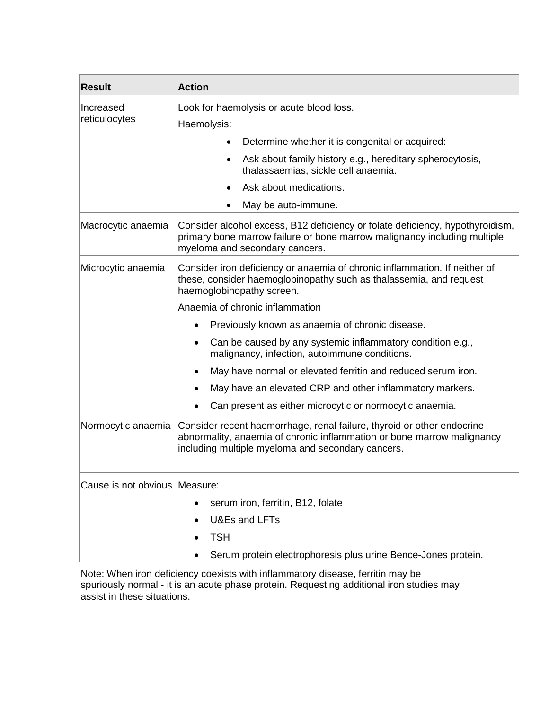| <b>Result</b>                   | <b>Action</b>                                                                                                                                                                                         |
|---------------------------------|-------------------------------------------------------------------------------------------------------------------------------------------------------------------------------------------------------|
| Increased<br>reticulocytes      | Look for haemolysis or acute blood loss.                                                                                                                                                              |
|                                 | Haemolysis:                                                                                                                                                                                           |
|                                 | Determine whether it is congenital or acquired:                                                                                                                                                       |
|                                 | Ask about family history e.g., hereditary spherocytosis,<br>$\bullet$<br>thalassaemias, sickle cell anaemia.                                                                                          |
|                                 | Ask about medications.                                                                                                                                                                                |
|                                 | May be auto-immune.                                                                                                                                                                                   |
| Macrocytic anaemia              | Consider alcohol excess, B12 deficiency or folate deficiency, hypothyroidism,<br>primary bone marrow failure or bone marrow malignancy including multiple<br>myeloma and secondary cancers.           |
| Microcytic anaemia              | Consider iron deficiency or anaemia of chronic inflammation. If neither of<br>these, consider haemoglobinopathy such as thalassemia, and request<br>haemoglobinopathy screen.                         |
|                                 | Anaemia of chronic inflammation                                                                                                                                                                       |
|                                 | Previously known as anaemia of chronic disease.<br>$\bullet$                                                                                                                                          |
|                                 | Can be caused by any systemic inflammatory condition e.g.,<br>$\bullet$<br>malignancy, infection, autoimmune conditions.                                                                              |
|                                 | May have normal or elevated ferritin and reduced serum iron.                                                                                                                                          |
|                                 | May have an elevated CRP and other inflammatory markers.                                                                                                                                              |
|                                 | Can present as either microcytic or normocytic anaemia.<br>٠                                                                                                                                          |
| Normocytic anaemia              | Consider recent haemorrhage, renal failure, thyroid or other endocrine<br>abnormality, anaemia of chronic inflammation or bone marrow malignancy<br>including multiple myeloma and secondary cancers. |
| Cause is not obvious   Measure: |                                                                                                                                                                                                       |
|                                 | serum iron, ferritin, B12, folate                                                                                                                                                                     |
|                                 | U&Es and LFTs                                                                                                                                                                                         |
|                                 | <b>TSH</b>                                                                                                                                                                                            |
|                                 | Serum protein electrophoresis plus urine Bence-Jones protein.                                                                                                                                         |

Note: When iron deficiency coexists with inflammatory disease, ferritin may be spuriously normal - it is an acute phase protein. Requesting additional iron studies may assist in these situations.